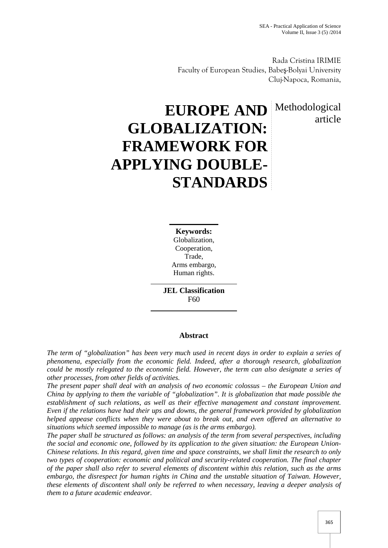article

Rada Cristina IRIMIE Faculty of European Studies, Babe -Bolyai University Cluj-Napoca, Romania,

# **EUROPE AND** Methodological **GLOBALIZATION: FRAMEWORK FOR APPLYING DOUBLE- STANDARDS**

**Keywords:** Globalization, Cooperation, Trade, Arms embargo, Human rights.

**JEL Classification** F60

# **Abstract**

*The term of "globalization" has been very much used in recent days in order to explain a series of phenomena, especially from the economic field. Indeed, after a thorough research, globalization could be mostly relegated to the economic field. However, the term can also designate a series of other processes, from other fields of activities.*

*The present paper shall deal with an analysis of two economic colossus – the European Union and China by applying to them the variable of "globalization". It is globalization that made possible the establishment of such relations, as well as their effective management and constant improvement. Even if the relations have had their ups and downs, the general framework provided by globalization helped appease conflicts when they were about to break out, and even offered an alternative to situations which seemed impossible to manage (as is the arms embargo).*

*The paper shall be structured as follows: an analysis of the term from several perspectives, including the social and economic one, followed by its application to the given situation: the European Union- Chinese relations. In this regard, given time and space constraints, we shall limit the research to only two types of cooperation: economic and political and security-related cooperation. The final chapter of the paper shall also refer to several elements of discontent within this relation, such as the arms embargo, the disrespect for human rights in China and the unstable situation of Taiwan. However, these elements of discontent shall only be referred to when necessary, leaving a deeper analysis of them to a future academic endeavor.*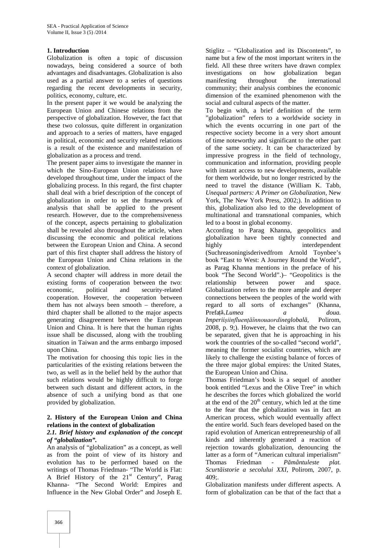### **1. Introduction**

Globalization is often a topic of discussion nowadays, being considered a source of both advantages and disadvantages. Globalization is also used as a partial answer to a series of questions regarding the recent developments in security, politics, economy, culture, etc.

In the present paper it we would be analyzing the European Union and Chinese relations from the perspective of globalization. However, the fact that these two colossus, quite different in organization and approach to a series of matters, have engaged in political, economic and security related relations is a result of the existence and manifestation of globalization as a process and trend.

The present paper aims to investigate the manner in which the Sino-European Union relations have developed throughout time, under the impact of the globalizing process. In this regard, the first chapter shall deal with a brief description of the concept of globalization in order to set the framework of analysis that shall be applied to the present research. However, due to the comprehensiveness of the concept, aspects pertaining to globalization shall be revealed also throughout the article, when discussing the economic and political relations between the European Union and China. A second part of this first chapter shall address the history of the European Union and China relations in the context of globalization.

A second chapter will address in more detail the existing forms of cooperation between the two: economic, political and security-related cooperation. However, the cooperation between them has not always been smooth – therefore, a third chapter shall be allotted to the major aspects generating disagreement between the European Union and China. It is here that the human rights issue shall be discussed, along with the troubling situation in Taiwan and the arms embargo imposed upon China.

The motivation for choosing this topic lies in the particularities of the existing relations between the two, as well as in the belief held by the author that such relations would be highly difficult to forge between such distant and different actors, in the absence of such a unifying bond as that one provided by globalization.

#### **2. History of the European Union and China relations in the context of globalization**

#### *2.1. Brief history and explanation of the concept of "globalization".*

An analysis of "globalization" as a concept, as well as from the point of view of its history and evolution has to be performed based on the writings of Thomas Friedman- "The World is Flat: A Brief History of the  $21<sup>st</sup>$  Century", Parag Khanna- "The Second World: Empires and Influence in the New Global Order" and Joseph E.

Stiglitz – "Globalization and its Discontents", to name but a few of the most important writers in the field. All these three writers have drawn complex investigations on how globalization began manifesting throughout the international community; their analysis combines the economic dimension of the examined phenomenon with the social and cultural aspects of the matter.

To begin with, a brief definition of the term "globalization" refers to a worldwide society in which the events occurring in one part of the respective society become in a very short amount of time noteworthy and significant to the other part of the same society. It can be characterized by impressive progress in the field of technology, communication and information, providing people with instant access to new developments, available for them worldwide, but no longer restricted by the need to travel the distance (William K. Tabb, *Unequal partners: A Primer on Globalization*, New York, The New York Press, 2002;). In addition to this, globalization also led to the development of multinational and transnational companies, which led to a boost in global economy.

According to Parag Khanna, geopolitics and globalization have been tightly connected and interdependent (Suchreasoningisderivedfrom Arnold Toynbee's book "East to West: A Journey Round the World", as Parag Khanna mentions in the preface of his book "The Second World".)– "Geopolitics is the relationship between power and space. Globalization refers to the more ample and deeper connections between the peoples of the world with regard to all sorts of exchanges" (Khanna, Prefață,*Lumea a doua. Imperiișiinfluențăînnouaordineglobal*, Polirom, 2008, p. 9;). However, he claims that the two can be separated, given that he is approaching in his work the countries of the so-called "second world", meaning the former socialist countries, which are likely to challenge the existing balance of forces of the three major global empires: the United States, the European Union and China.

Thomas Friedman's book is a sequel of another book entitled "Lexus and the Olive Tree" in which he describes the forces which globalized the world at the end of the  $20<sup>th</sup>$  century, which led at the time to the fear that the globalization was in fact an American process, which would eventually affect the entire world. Such fears developed based on the rapid evolution of American entrepreneurship of all kinds and inherently generated a reaction of rejection towards globalization, denouncing the latter as a form of "American cultural imperialism" Thomas Friedman - *P mântuleste plat.* Scurt istorie a secolului XXI, Polirom, 2007, p.  $409$ :

Globalization manifests under different aspects. A form of globalization can be that of the fact that a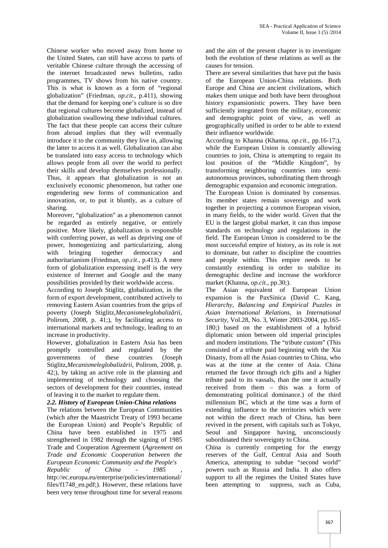Chinese worker who moved away from home to the United States, can still have access to parts of veritable Chinese culture through the accessing of the internet broadcasted news bulletins, radio programmes, TV shows from his native country. This is what is known as a form of "regional globalization" (Friedman, *op.cit*., p.411), showing that the demand for keeping one's culture is so dire that regional cultures become globalized, instead of globalization swallowing these individual cultures. The fact that these people can access their culture from abroad implies that they will eventually introduce it to the community they live in, allowing the latter to access it as well. Globalization can also be translated into easy access to technology which allows people from all over the world to perfect their skills and develop themselves professionally. Thus, it appears that globalization is not an exclusively economic phenomenon, but rather one engendering new forms of communication and innovation, or, to put it bluntly, as a culture of sharing.

Moreover, "globalization" as a phenomenon cannot be regarded as entirely negative, or entirely positive. More likely, globalization is responsible with conferring power, as well as depriving one of power, homogenizing and particularizing, along with bringing together democracy and authoritarianism (Friedman, *op.cit*., p.413). A mere form of globalization expressing itself is the very existence of Internet and Google and the many possibilities provided by their worldwide access.

According to Joseph Stiglitz, globalization, in the form of export development, contributed actively to removing Eastern Asian countries from the grips of poverty (Joseph Stiglitz, *Mecanismeleglobaliz rii*, Polirom, 2008, p. 41;), by facilitating access to international markets and technology, leading to an increase in productivity.

However, globalization in Eastern Asia has been promptly controlled and regulated by the governments of these countries (Joseph Stiglitz, Mecanismeleglobaliz rii, Polirom, 2008, p. 42;), by taking an active role in the planning and implementing of technology and choosing the sectors of development for their countries, instead of leaving it to the market to regulate them.

# *2.2. History of European Union-China relations*

The relations between the European Communities (which after the Maastricht Treaty of 1993 became the European Union) and People's Republic of China have been established in 1975 and strengthened in 1982 through the signing of 1985 Trade and Cooperation Agreement (*Agreement on Trade and Economic Cooperation between the European Economic Community and the People's Republic of China - 1985* , http://ec.europa.eu/enterprise/policies/international/ files/f1748\_en.pdf;). However, these relations have

been very tense throughout time for several reasons

and the aim of the present chapter is to investigate both the evolution of these relations as well as the causes for tension.

There are several similarities that have put the basis of the European Union-China relations. Both Europe and China are ancient civilizations, which makes them unique and both have been throughout history expansionistic powers. They have been sufficiently integrated from the military, economic and demographic point of view, as well as geographically unified in order to be able to extend their influence worldwide.

According to Khanna (Khanna, *op.cit*., pp.16-17;), while the European Union is constantly allowing countries to join, China is attempting to regain its lost position of the "Middle Kingdom", by transforming neighboring countries into semi autonomous provinces, subordinating them through demographic expansion and economic integration.

The European Union is dominated by consensus. Its member states remain sovereign and work together in projecting a common European vision, in many fields, to the wider world. Given that the EU is the largest global market, it can thus impose standards on technology and regulations in the field. The European Union is considered to be the most successful empire of history, as its role is not to dominate, but rather to discipline the countries and people within. This empire needs to be constantly extending in order to stabilize its demographic decline and increase the workforce market (Khanna, *op.cit*., pp.30;).

The Asian equivalent of European Union expansion is the PaxSinica (David C. Kang, *Hierarchy, Balancing and Empirical Puzzles in Asian International Relations*, in *International Security*, Vol.28, No. 3, Winter 2003-2004, pp.165- 180;) based on the establishment of a hybrid diplomatic union between old imperial principles and modern institutions. The "tribute custom" (This consisted of a tribute paid beginning with the Xia Dinasty, from all the Asian countries to China, who was at the time at the center of Asia. China returned the favor through rich gifts and a higher tribute paid to its vassals, than the one it actually received from them – this was a form of demonstrating political dominance.) of the third millennium BC, which at the time was a form of extending influence to the territories which were not within the direct reach of China, has been revived in the present, with capitals such as Tokyo, Seoul and Singapore having, unconsciously subordinated their sovereignty to China.

China is currently competing for the energy reserves of the Gulf, Central Asia and South America, attempting to subdue "second world" powers such as Russia and India. It also offers support to all the regimes the United States have been attempting to suppress, such as Cuba,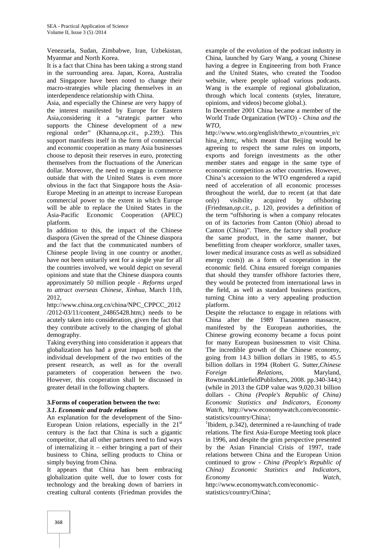Venezuela, Sudan, Zimbabwe, Iran, Uzbekistan, Myanmar and North Korea.

It is a fact that China has been taking a strong stand in the surrounding area. Japan, Korea, Australia and Singapore have been noted to change their macro-strategies while placing themselves in an interdependence relationship with China.

Asia, and especially the Chinese are very happy of the interest manifested by Europe for Eastern Asia,considering it a "strategic partner who supports the Chinese development of a new regional order" (Khanna,*op.cit*., p.239;). This support manifests itself in the form of commercial and economic cooperation as many Asia businesses choose to deposit their reserves in euro, protecting themselves from the fluctuations of the American dollar. Moreover, the need to engage in commerce outside that with the United States is even more obvious in the fact that Singapore hosts the Asia- Europe Meeting in an attempt to increase European commercial power to the extent in which Europe will be able to replace the United States in the Asia-Pacific Economic Cooperation (APEC) platform.

In addition to this, the impact of the Chinese diaspora (Given the spread of the Chinese diaspora and the fact that the communicated numbers of Chinese people living in one country or another, have not been unitarily sent for a single year for all the countries involved, we would depict on several opinions and state that the Chinese diaspora counts approximately 50 million people - *Reforms urged to attract overseas Chinese*, *Xinhua*, March 11th, 2012,

http://www.china.org.cn/china/NPC\_CPPCC\_2012 /2012-03/11/content\_24865428.htm;) needs to be acutely taken into consideration, given the fact that they contribute actively to the changing of global demography.

Taking everything into consideration it appears that globalization has had a great impact both on the individual development of the two entities of the present research, as well as for the overall parameters of cooperation between the two. However, this cooperation shall be discussed in greater detail in the following chapters.

#### **3.Forms of cooperation between the two:** *3.1. Economic and trade relations*

An explanation for the development of the Sino- European Union relations, especially in the  $21<sup>st</sup>$ century is the fact that China is such a gigantic competitor, that all other partners need to find ways of internalizing it – either bringing a part of their business to China, selling products to China or simply buying from China.

It appears that China has been embracing globalization quite well, due to lower costs for technology and the breaking down of barriers in creating cultural contents (Friedman provides the

example of the evolution of the podcast industry in China, launched by Gary Wang, a young Chinese having a degree in Engineering from both France and the United States, who created the Toodoo website, where people upload various podcasts. Wang is the example of regional globalization, through which local contents (styles, literature, opinions, and videos) become global.).

In December 2001 China became a member of the World Trade Organization (WTO) - *China and the WTO*,

http://www.wto.org/english/thewto\_e/countries\_e/c hina e.htm;, which meant that Beijing would be agreeing to respect the same rules on imports, exports and foreign investments as the other member states and engage in the same type of economic competition as other countries. However, China's accession to the WTO engendered a rapid need of acceleration of all economic processes throughout the world, due to recent (at that date only) visibility acquired by offshoring (Friedman,*op.cit*., p. 120, provides a definition of the term "offshoring is when a company relocates on of its factories from Canton (Ohio) abroad to Canton (China)". There, the factory shall produce the same product, in the same manner, but benefitting from cheaper workforce, smaller taxes, lower medical insurance costs as well as subsidized energy costs)) as a form of cooperation in the economic field. China ensured foreign companies that should they transfer offshore factories there, they would be protected from international laws in the field, as well as standard business practices, turning China into a very appealing production platform.

Despite the reluctance to engage in relations with China after the 1989 Tiananmen massacre, manifested by the European authorities, the Chinese growing economy became a focus point for many European businessmen to visit China. The incredible growth of the Chinese economy, going from 14.3 billion dollars in 1985, to 45.5 billion dollars in 1994 (Robert G. Sutter,*Chinese Foreign Relations*, Maryland, Rowman&LittlefieldPublishers, 2008. pp.340-344;) (while in 2013 the GDP value was 9,020.31 billion dollars - *China (People's Republic of China) Economic Statistics and Indicators*, *Economy Watch*, http://www.economywatch.com/economic statistics/country/China/;<br><sup>1</sup>Ibidem, p.342), determined a re-launching of trade

relations. The first Asia-Europe Meeting took place in 1996, and despite the grim perspective presented by the Asian Financial Crisis of 1997, trade relations between China and the European Union continued to grow - *China (People's Republic of China) Economic Statistics and Indicators*, *Economy Watch*,

http://www.economywatch.com/economic statistics/country/China/;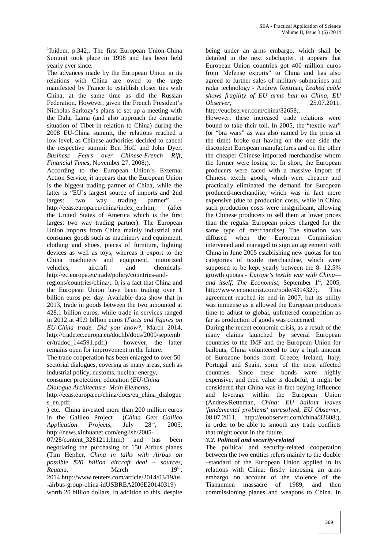<sup>1</sup>Ibidem, p.342;. The first European Union-China Summit took place in 1998 and has been held yearly ever since.

The advances made by the European Union in its relations with China are owed to the urge manifested by France to establish closer ties with China, at the same time as did the Russian *shows fra*<br>Federation. However, given the French President's *Observer*. Federation. However, given the French President's Nicholas Sarkozy's plans to set up a meeting with the Dalai Lama (and also approach the dramatic situation of Tibet in relation to China) during the 2008 EU-China summit, the relations reached a low level, as Chinese authorities decided to cancel the respective summit Ben Hoff and John Dyer, *Business Fears over Chinese-French Rift*, *Financial Times*, November 27, 2008;).

According to the European Union's External Action Service, it appears that the European Union is the biggest trading partner of China, while the latter is "EU's largest source of imports and 2nd largest two way trading partner" http://eeas.europa.eu/china/index\_en.htm; (after the United States of America which is the first largest two way trading partner). The European Union imports from China mainly industrial and consumer goods such as machinery and equipment, clothing and shoes, pieces of furniture, lighting devices as well as toys, whereas it export to the China machinery and equipment, motorized vehicles, aircraft and chemicals http://ec.europa.eu/trade/policy/countries-andregions/countries/china/;. It is a fact that China and the European Union have been trading over 1 billion euros per day. Available data show that in 2013, trade in goods between the two amounted at 428.1 billion euros, while trade in services ranged

in 2012 at 49.9 billion euros (*Facts and figures on EU-China trade. Did you know?,* March 2014, http://trade.ec.europa.eu/doclib/docs/2009/septemb er/tradoc\_144591.pdf;) – however, the latter remains open for improvement in the future.

The trade cooperation has been enlarged to over 50 sectorial dialogues, covering as many areas, such as industrial policy, customs, nuclear energy,

consumer protection, education (*EU-China*

*Dialogue Architecture- Main Elements*,

http://eeas.europa.eu/china/docs/eu\_china\_dialogue s en.pdf;

) etc. China invested more than 200 million euros in the Galileo Project (*China Gets Galileo Application Projects*, July 28<sup>th</sup>, 2005, http://news.xinhuanet.com/english/2005-

07/28/content 3281211.htm;) and has been negotiating the purchasing of 150 Airbus planes (Tim Hepher, *China in talks with Airbus on possible \$20 billion aircraft deal – sources*, *Reuters*, March 19<sup>th</sup>, ,<br>, 2014,http://www.reuters.com/article/2014/03/19/us -airbus-group-china-idUSBREA2I06E20140319)

worth 20 billion dollars. In addition to this, despite

being under an arms embargo, which shall be detailed in the next subchapter, it appears that European Union countries got 400 million euros from "defense exports" to China and has also agreed to further sales of military submarines and radar technology - Andrew Rettman, *Leaked cable shows fragility of EU arms ban on China*, *EU Observer*, 25.07.2011,

http://euobserver.com/china/32658;.

However, these increased trade relations were bound to take their toll. In 2005, the "textile war" (or "bra wars" as was also named by the press at the time) broke out having on the one side the discontent European manufactures and on the other the cheaper Chinese imported merchandise whom the former were losing to. In short, the European producers were faced with a massive import of Chinese textile goods, which were cheaper and practically eliminated the demand for European produced-merchandise, which was in fact more expensive (due to production costs, while in China such production costs were insignificant, allowing the Chinese producers to sell them at lower prices than the regular European prices charged for the same type of merchandise) The situation was diffused when the European Commission intervened and managed to sign an agreement with China in June 2005 establishing new quotas for ten categories of textile merchandise, which were supposed to be kept yearly between the 8- 12.5% growth quotas - *Europe's textile war with China and itself, The Economist, September 1<sup>st</sup>, 2005,* http://www.economist.com/node/4314327;. This agreement reached its end in 2007, but its utility was immense as it allowed the European producers time to adjust to global, unfettered competition as far as production of goods was concerned.

During the recent economic crisis, as a result of the many claims launched by several European countries to the IMF and the European Union for bailouts, China volunteered to buy a high amount of Eurozone bonds from Greece, Ireland, Italy, Portugal and Spain, some of the most affected countries. Since these bonds were highly expensive, and their value is doubtful, it might be considered that China was in fact buying influence and leverage within the European Union (AndrewRetteman, *China: EU bailout leaves 'fundamental problems' unresolved*, *EU Observer*, 08.07.2011, http://euobserver.com/china/32608;), in order to be able to smooth any trade conflicts that might occur in the future.

#### *3.2. Political and security-related*

The political and security-related cooperation between the two entities refers mainly to the double –standard of the European Union applied in its relations with China: firstly imposing an arms embargo on account of the violence of the Tiananmen massacre of 1989, and then commissioning planes and weapons to China. In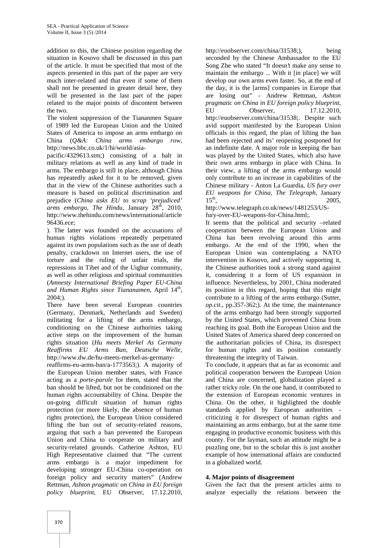addition to this, the Chinese position regarding the situation in Kosovo shall be discussed in this part of the article. It must be specified that most of the aspects presented in this part of the paper are very much inter-related and that even if some of them shall not be presented in greater detail here, they will be presented in the last part of the paper related to the major points of discontent between the two.

The violent suppression of the Tiananmen Square of 1989 led the European Union and the United States of America to impose an arms embargo on China (*Q&A: China arms embargo row*, http://news.bbc.co.uk/1/hi/world/asia-

pacific/4329613.stm;) consisting of a halt in military relations as well as any kind of trade in arms. The embargo is still in place, although China has repeatedly asked for it to be removed, given that in the view of the Chinese authorities such a measure is based on political discrimination and  $EU$ <br>prejudice (*China asks EU to scrap 'prejudiced'*  $15^{th}$ prejudice (*China asks EU to scrap 'prejudiced' arms embargo, The Hindu, January 28<sup>th</sup>, 2010,* http://www.thehindu.com/news/international/article 96436.ece;

). The latter was founded on the accusations of human rights violations repeatedly perpetrated against its own populations such as the use of death penalty, crackdown on Internet users, the use of torture and the ruling of unfair trials, the repressions in Tibet and of the Uighur community, as well as other religious and spiritual communities (*Amnesty International Briefing Paper EU-China* and Human Rights since Tiananamen, April 14<sup>th</sup>, 2004;).

There have been several European countries (Germany, Denmark, Netherlands and Sweden) militating for a lifting of the arms embargo, conditioning on the Chinese authorities taking active steps on the improvement of the human rights situation (*Hu meets Merkel As Germany Reaffirms EU Arms Ban*, *Deutsche Welle*, http://www.dw.de/hu-meets-merkel-as-germany-

reaffirms-eu-arms-ban/a-1773563;). A majority of the European Union member states, with France acting as a *porte-parole* for them, stated that the ban should be lifted, but not be conditioned on the human rights accountability of China. Despite the on-going difficult situation of human rights protection (or more likely, the absence of human rights protection), the European Union considered lifting the ban out of security-related reasons, arguing that such a ban prevented the European Union and China to cooperate on military and security-related grounds. Catherine Ashton, EU High Representative claimed that "The current arms embargo is a major impediment for developing stronger EU-China co-operation on foreign policy and security matters" (Andrew Rettman, *Ashton pragmatic on China in EU foreign policy blueprint*, EU Observer, 17.12.2010,

http://euobserver.com/china/31538;), being seconded by the Chinese Ambassador to the EU Song Zhe who stated "It doesn't make any sense to maintain the embargo ... With it [in place] we will develop our own arms even faster. So, at the end of the day, it is the [arms] companies in Europe that are losing out" - Andrew Rettman, *Ashton pragmatic on China in EU foreign policy blueprint*, EU Observer, 17.12.2010, http://euobserver.com/china/31538;. Despite such avid support manifested by the European Union officials in this regard, the plan of lifting the ban had been rejected and its' reopening postponed for an indefinite date. A major role in keeping the ban was played by the United States, which also have their own arms embargo in place with China. In their view, a lifting of the arms embargo would only contribute to an increase in capabilities of the Chinese military - Anton La Guardia, *US fury over EU weapons for China, The Telegraph*, January  $15<sup>th</sup>$ , 2005,

http://www.telegraph.co.uk/news/1481253/USfury-over-EU-weapons-for-China.html;.

It seems that the political and security –related cooperation between the European Union and China has been revolving around this arms embargo. At the end of the 1990, when the European Union was contemplating a NATO intervention in Kosovo, and actively supporting it, the Chinese authorities took a strong stand against it, considering it a form of US expansion in influence. Nevertheless, by 2001, China moderated its position in this regard, hoping that this might contribute to a lifting of the arms embargo (Sutter, *op.cit*., pp.357-362;). At the time, the maintenance of the arms embargo had been strongly supported by the United States, which prevented China from reaching its goal. Both the European Union and the United States of America shared deep concerned on the authoritarian policies of China, its disrespect for human rights and its position constantly threatening the integrity of Taiwan.

To conclude, it appears that as far as economic and political cooperation between the European Union and China are concerned, globalization played a rather tricky role. On the one hand, it contributed to the extension of European economic ventures in China. On the other, it highlighted the double standards applied by European authorities criticizing it for disrespect of human rights and maintaining an arms embargo, but at the same time engaging in productive economic business with this county. For the layman, such an attitude might be a puzzling one, but to the scholar this is just another example of how international affairs are conducted in a globalized world.

#### **4. Major points of disagreement**

Given the fact that the present articles aims to analyze especially the relations between the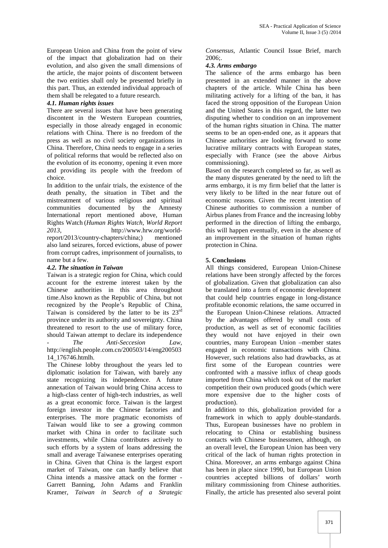European Union and China from the point of view of the impact that globalization had on their evolution, and also given the small dimensions of the article, the major points of discontent between the two entities shall only be presented briefly in this part. Thus, an extended individual approach of them shall be relegated to a future research.

## *4.1. Human rights issues*

There are several issues that have been generating discontent in the Western European countries, especially in those already engaged in economic relations with China. There is no freedom of the press as well as no civil society organizations in China. Therefore, China needs to engage in a series of political reforms that would be reflected also on the evolution of its economy, opening it even more and providing its people with the freedom of choice.

In addition to the unfair trials, the existence of the death penalty, the situation in Tibet and the mistreatment of various religious and spiritual communities documented by the Amnesty International report mentioned above, Human Rights Watch (*Human Rights Watch, World Report 2013*, http://www.hrw.org/worldreport/2013/country-chapters/china;) mentioned also land seizures, forced evictions, abuse of power from corrupt cadres, imprisonment of journalists, to name but a few.

## *4.2. The situation in Taiwan*

Taiwan is a strategic region for China, which could account for the extreme interest taken by the Chinese authorities in this area throughout time.Also known as the Republic of China, but not recognized by the People's Republic of China, Taiwan is considered by the latter to be its  $23<sup>rd</sup>$ province under its authority and sovereignty. China threatened to resort to the use of military force, should Taiwan attempt to declare its independence - *The Anti-Seccesion Law*, http://english.people.com.cn/200503/14/eng200503 14\_176746.htmlh.

The Chinese lobby throughout the years led to diplomatic isolation for Taiwan, with barely any state recognizing its independence. A future annexation of Taiwan would bring China access to a high-class center of high-tech industries, as well as a great economic force. Taiwan is the largest foreign investor in the Chinese factories and enterprises. The more pragmatic economists of Taiwan would like to see a growing common market with China in order to facilitate such investments, while China contributes actively to such efforts by a system of loans addressing the small and average Taiwanese enterprises operating in China. Given that China is the largest export market of Taiwan, one can hardly believe that China intends a massive attack on the former - Garrett Banning, John Adams and Franklin Kramer, *Taiwan in Search of a Strategic*

*Consensus*, Atlantic Council Issue Brief, march 2006;.

## *4.3. Arms embargo*

The salience of the arms embargo has been presented in an extended manner in the above chapters of the article. While China has been militating actively for a lifting of the ban, it has faced the strong opposition of the European Union and the United States in this regard, the latter two disputing whether to condition on an improvement of the human rights situation in China. The matter seems to be an open-ended one, as it appears that Chinese authorities are looking forward to some lucrative military contracts with European states, especially with France (see the above Airbus commissioning).

Based on the research completed so far, as well as the many disputes generated by the need to lift the arms embargo, it is my firm belief that the latter is very likely to be lifted in the near future out of economic reasons. Given the recent intention of Chinese authorities to commission a number of Airbus planes from France and the increasing lobby performed in the direction of lifting the embargo, this will happen eventually, even in the absence of an improvement in the situation of human rights protection in China.

# **5. Conclusions**

All things considered, European Union-Chinese relations have been strongly affected by the forces of globalization. Given that globalization can also be translated into a form of economic development that could help countries engage in long-distance profitable economic relations, the same occurred in the European Union-Chinese relations. Attracted by the advantages offered by small costs of production, as well as set of economic facilities they would not have enjoyed in their own countries, many European Union –member states engaged in economic transactions with China. However, such relations also had drawbacks, as at first some of the European countries were confronted with a massive influx of cheap goods imported from China which took out of the market competition their own produced goods (which were more expensive due to the higher costs of production).

In addition to this, globalization provided for a framework in which to apply double-standards. Thus, European businesses have no problem in relocating to China or establishing business contacts with Chinese businessmen, although, on an overall level, the European Union has been very critical of the lack of human rights protection in China. Moreover, an arms embargo against China has been in place since 1990, but European Union countries accepted billions of dollars' worth military commissioning from Chinese authorities. Finally, the article has presented also several point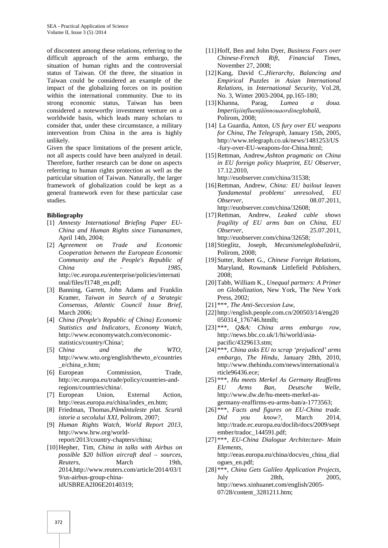of discontent among these relations, referring to the difficult approach of the arms embargo, the situation of human rights and the controversial status of Taiwan. Of the three, the situation in Taiwan could be considered an example of the impact of the globalizing forces on its position within the international community. Due to its strong economic status, Taiwan has been considered a noteworthy investment venture on a worldwide basis, which leads many scholars to consider that, under these circumstance, a military intervention from China in the area is highly unlikely.

Given the space limitations of the present article, not all aspects could have been analyzed in detail. Therefore, further research can be done on aspects referring to human rights protection as well as the particular situation of Taiwan. Naturally, the larger framework of globalization could be kept as a general framework even for these particular case studies.

#### **Bibliography**

- [1] *Amnesty International Briefing Paper EU- China and Human Rights since Tiananamen*, April 14th, 2004;
- [2] *Agreement on Trade and Economic Cooperation between the European Economic Community and the People's Republic of China - 1985*, http://ec.europa.eu/enterprise/policies/internati onal/files/f1748\_en.pdf;
- [3] Banning, Garrett, John Adams and Franklin Kramer, *Taiwan in Search of a Strategic Consensus*, *Atlantic Council Issue Brief*, March 2006;
- [4] *China (People's Republic of China) Economic Statistics and Indicators*, *Economy Watch*, http://www.economywatch.com/economic statistics/country/China/;
- [5] *China and the WTO*, http://www.wto.org/english/thewto\_e/countries \_e/china\_e.htm;
- [6] European Commission, Trade, http://ec.europa.eu/trade/policy/countries-andregions/countries/china/.
- [7] European Union, External Action, http://eeas.europa.eu/china/index\_en.htm;
- [8] Friedman, Thomas,P mântuleste plat. Scurt *istorie a secolului XXI*, Polirom, 2007;
- [9] *Human Rights Watch, World Report 2013*, http://www.hrw.org/world
	- report/2013/country-chapters/china;
- [10]Hepher, Tim, *China in talks with Airbus on possible \$20 billion aircraft deal – sources*, *Reuters*, March 19th, 2014,http://www.reuters.com/article/2014/03/1 9/us-airbus-group-chinaidUSBREA2I06E20140319;
- [11]Hoff, Ben and John Dyer, *Business Fears over Chinese-French Rift*, *Financial Times*, November 27, 2008;
- [12]Kang, David C.,*Hierarchy, Balancing and Empirical Puzzles in Asian International Relations*, in *International Security*, Vol.28, No. 3, Winter 2003-2004, pp.165-180;<br>Khanna, Parag, *Lumea a*
- [13]Khanna, Parag, *Lumea a doua. Imperiișiinfluențăînnouaordineglobal*, Polirom, 2008;
- [14] La Guardia, Anton, *US fury over EU weapons for China*, *The Telegraph*, January 15th, 2005, http://www.telegraph.co.uk/news/1481253/US -fury-over-EU-weapons-for-China.html;
- [15]Rettman, Andrew,*Ashton pragmatic on China in EU foreign policy blueprint*, *EU Observer*, 17.12.2010,
	- http://euobserver.com/china/31538;
- [16]Rettman, Andrew, *China: EU bailout leaves 'fundamental problems' unresolved*, *EU Observer*, 08.07.2011, http://euobserver.com/china/32608;
- [17]Rettman, Andrew, *Leaked cable shows fragility of EU arms ban on China*, *EU Observer*, 25.07.2011, http://euobserver.com/china/32658;
- [18]Stieglitz, Joseph, *Mecanismeleglobalizării*, Polirom, 2008;
- [19]Sutter, Robert G., *Chinese Foreign Relations*, Maryland, Rowman& Littlefield Publishers, 2008;
- [20]Tabb, William K., *Unequal partners: A Primer on Globalization*, New York, The New York Press, 2002;
- [21] \*\*\*, *The Anti-Seccesion Law*,
- [22] http://english.people.com.cn/200503/14/eng20 050314\_176746.htmlh;
- [23] \*\*\*, *Q&A: China arms embargo row*, http://news.bbc.co.uk/1/hi/world/asia pacific/4329613.stm;
- [24] \*\*\*, *China asks EU to scrap 'prejudiced' arms embargo*, *The Hindu*, January 28th, 2010, http://www.thehindu.com/news/international/a rticle96436.ece;
- [25] \*\*\*, *Hu meets Merkel As Germany Reaffirms EU Arms Ban*, *Deutsche Welle*, http://www.dw.de/hu-meets-merkel-as germany-reaffirms-eu-arms-ban/a-1773563;
- [26] \*\*\*, *Facts and figures on EU-China trade. Did you know?*, March 2014, http://trade.ec.europa.eu/doclib/docs/2009/sept ember/tradoc\_144591.pdf;
- [27] \*\*\*, *EU-China Dialogue Architecture- Main Elements*, http://eeas.europa.eu/china/docs/eu\_china\_dial ogues\_en.pdf;
- [28] \*\*\*, *China Gets Galileo Application Projects*, July 28th, 2005, http://news.xinhuanet.com/english/2005- 07/28/content\_3281211.htm;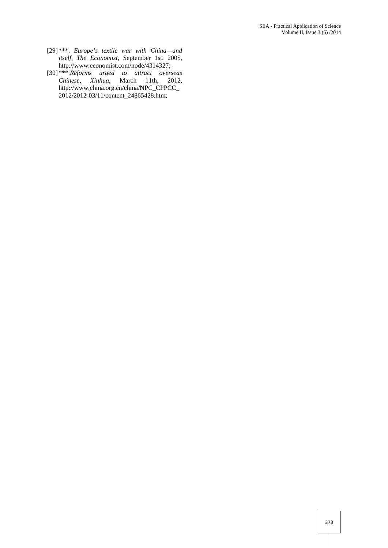- [29] \*\*\*, *Europe's textile war with China—and itself*, *The Economist*, September 1st, 2005, http://www.economist.com/node/4314327;
- [30] \*\*\*,*Reforms urged to attract overseas Chinese*, *Xinhua*, March 11th, 2012, http://www.china.org.cn/china/NPC\_CPPCC\_ 2012/2012-03/11/content\_24865428.htm;